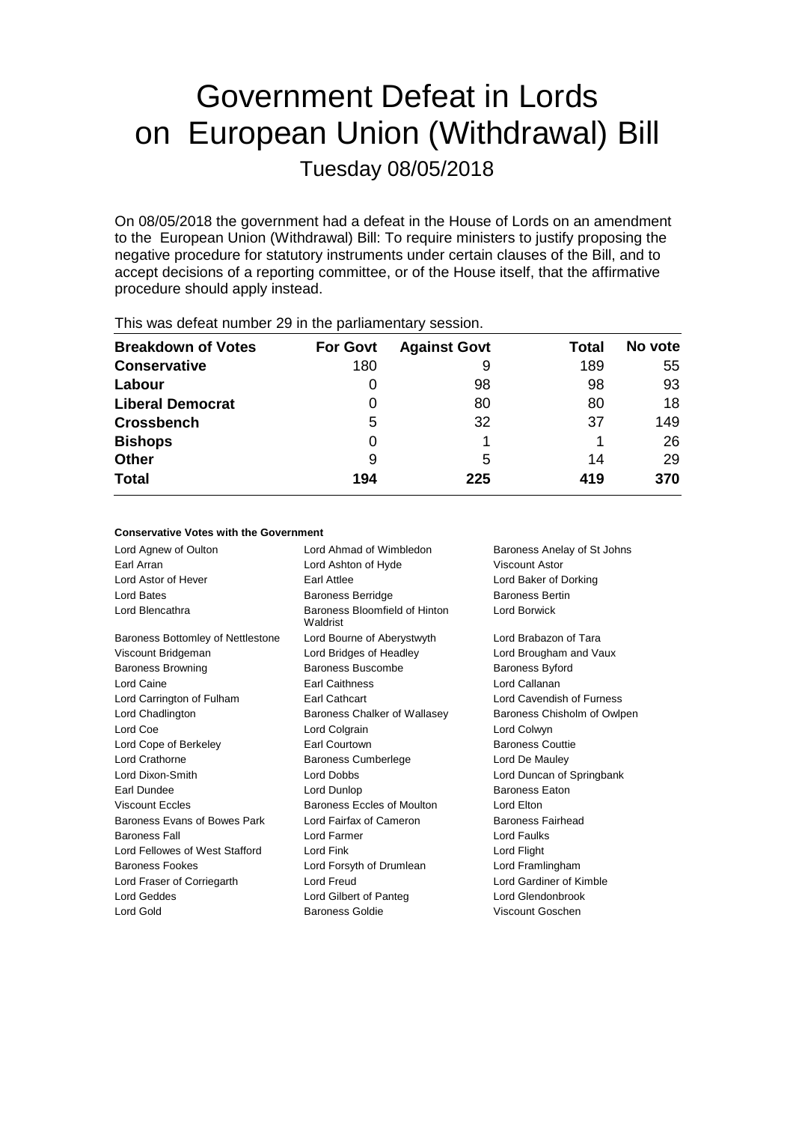# Government Defeat in Lords on European Union (Withdrawal) Bill Tuesday 08/05/2018

On 08/05/2018 the government had a defeat in the House of Lords on an amendment to the European Union (Withdrawal) Bill: To require ministers to justify proposing the negative procedure for statutory instruments under certain clauses of the Bill, and to accept decisions of a reporting committee, or of the House itself, that the affirmative procedure should apply instead.

| <b>Breakdown of Votes</b> | <b>For Govt</b> | <b>Against Govt</b> | Total | No vote |
|---------------------------|-----------------|---------------------|-------|---------|
| <b>Conservative</b>       | 180             | 9                   | 189   | 55      |
| Labour                    |                 | 98                  | 98    | 93      |
| <b>Liberal Democrat</b>   | 0               | 80                  | 80    | 18      |
| <b>Crossbench</b>         | 5               | 32                  | 37    | 149     |
| <b>Bishops</b>            | Ω               |                     |       | 26      |
| <b>Other</b>              | 9               | 5                   | 14    | 29      |
| <b>Total</b>              | 194             | 225                 | 419   | 370     |
|                           |                 |                     |       |         |

This was defeat number 29 in the parliamentary session.

## **Conservative Votes with the Government**

| Lord Agnew of Oulton              | Lord Ahmad of Wimbledon                   | Baroness Anelay of St Johns |
|-----------------------------------|-------------------------------------------|-----------------------------|
| Earl Arran                        | Lord Ashton of Hyde                       | Viscount Astor              |
| Lord Astor of Hever               | Earl Attlee                               | Lord Baker of Dorking       |
| Lord Bates                        | <b>Baroness Berridge</b>                  | <b>Baroness Bertin</b>      |
| Lord Blencathra                   | Baroness Bloomfield of Hinton<br>Waldrist | Lord Borwick                |
| Baroness Bottomley of Nettlestone | Lord Bourne of Aberystwyth                | Lord Brabazon of Tara       |
| Viscount Bridgeman                | Lord Bridges of Headley                   | Lord Brougham and Vaux      |
| <b>Baroness Browning</b>          | Baroness Buscombe                         | <b>Baroness Byford</b>      |
| Lord Caine                        | <b>Earl Caithness</b>                     | Lord Callanan               |
| Lord Carrington of Fulham         | Earl Cathcart                             | Lord Cavendish of Furness   |
| Lord Chadlington                  | Baroness Chalker of Wallasey              | Baroness Chisholm of Owlpen |
| Lord Coe                          | Lord Colgrain                             | Lord Colwyn                 |
| Lord Cope of Berkeley             | Earl Courtown                             | <b>Baroness Couttie</b>     |
| Lord Crathorne                    | <b>Baroness Cumberlege</b>                | Lord De Mauley              |
| Lord Dixon-Smith                  | Lord Dobbs                                | Lord Duncan of Springbank   |
| Earl Dundee                       | Lord Dunlop                               | <b>Baroness Eaton</b>       |
| <b>Viscount Eccles</b>            | Baroness Eccles of Moulton                | Lord Elton                  |
| Baroness Evans of Bowes Park      | Lord Fairfax of Cameron                   | Baroness Fairhead           |
| <b>Baroness Fall</b>              | Lord Farmer                               | <b>Lord Faulks</b>          |
| Lord Fellowes of West Stafford    | Lord Fink                                 | Lord Flight                 |
| <b>Baroness Fookes</b>            | Lord Forsyth of Drumlean                  | Lord Framlingham            |
| Lord Fraser of Corriegarth        | Lord Freud                                | Lord Gardiner of Kimble     |
| <b>Lord Geddes</b>                | Lord Gilbert of Panteg                    | Lord Glendonbrook           |
| Lord Gold                         | Baroness Goldie                           | Viscount Goschen            |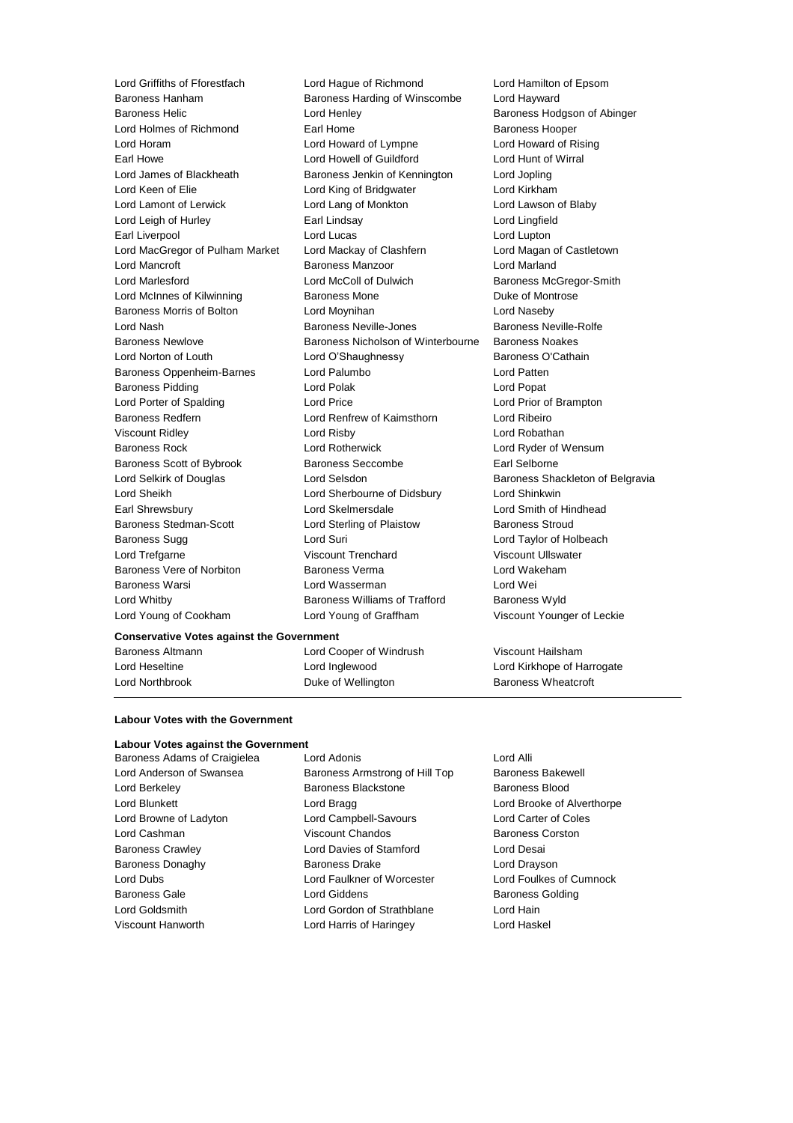Lord Griffiths of Fforestfach Lord Hague of Richmond Lord Hamilton of Epsom Baroness Harding of Winscombe Lord Hayward Baroness Helic Lord Henley Baroness Hodgson of Abinger Lord Holmes of Richmond Earl Home Earl Home Baroness Hooper Lord Horam Lord Howard of Lympne Lord Howard of Rising Earl Howe Lord Howell of Guildford Lord Hunt of Wirral Lord James of Blackheath Baroness Jenkin of Kennington Lord Jopling Lord Keen of Elie Lord King of Bridgwater Lord Kirkham Lord Lamont of Lerwick Lord Lang of Monkton Lord Lawson of Blaby Lord Leigh of Hurley Earl Lindsay Lord Lingfield Earl Liverpool **Lord Lucas** Lord Lucas **Lord Lupton** Lord MacGregor of Pulham Market Lord Mackay of Clashfern Lord Magan of Castletown Lord Mancroft **Baroness Manzoor Baroness Manzoor Lord Marland** Lord Marlesford **Lord McColl of Dulwich Baroness McGregor-Smith** Lord McInnes of Kilwinning **Baroness Mone Communist Control** Duke of Montrose Baroness Morris of Bolton Lord Moynihan Lord Naseby Lord Nash Baroness Neville-Jones Baroness Neville-Rolfe Baroness Newlove Baroness Nicholson of Winterbourne Baroness Noakes Lord Norton of Louth Lord O'Shaughnessy Baroness O'Cathain Baroness Oppenheim-Barnes Lord Palumbo Lord Patten Baroness Pidding **Lord Polak** Lord Polak **Lord Popat** Lord Porter of Spalding Lord Price Lord Prior of Brampton Baroness Redfern Lord Renfrew of Kaimsthorn Lord Ribeiro Viscount Ridley Lord Risby Lord Robathan Baroness Rock Lord Rotherwick Lord Ryder of Wensum Baroness Scott of Bybrook Baroness Seccombe Earl Selborne Lord Selkirk of Douglas **Lord Selsdon** Baroness Shackleton of Belgravia Lord Sheikh Lord Sherbourne of Didsbury Lord Shinkwin Earl Shrewsbury Lord Skelmersdale Lord Smith of Hindhead Baroness Stedman-Scott Lord Sterling of Plaistow Baroness Stroud Baroness Sugg Lord Suri Lord Taylor of Holbeach Lord Trefgarne Viscount Trenchard Viscount Ullswater Baroness Vere of Norbiton Baroness Verma Lord Wakeham Baroness Warsi Lord Wasserman Lord Wei Lord Whitby **Baroness Williams of Trafford** Baroness Wyld Lord Young of Cookham Lord Young of Graffham Viscount Younger of Leckie

#### **Conservative Votes against the Government**

Baroness Altmann Lord Cooper of Windrush Viscount Hailsham Lord Northbrook **Duke of Wellington** Baroness Wheatcroft

Lord Heseltine Lord Inglewood Lord Kirkhope of Harrogate

#### **Labour Votes with the Government**

#### **Labour Votes against the Government**

Baroness Adams of Craigielea Lord Adonis Cord Alli Lord Anderson of Swansea **Baroness Armstrong of Hill Top** Baroness Bakewell Lord Berkeley **Baroness Blackstone** Baroness Blood Lord Blunkett **Lord Bragg Lord Brooke of Alverthorpe** Lord Brooke of Alverthorpe Lord Browne of Ladyton Lord Campbell-Savours Lord Carter of Coles Lord Cashman Viscount Chandos Baroness Corston Baroness Crawley Lord Davies of Stamford Lord Desai Baroness Donaghy **Baroness Drake Lord Drayson** Lord Dubs Lord Faulkner of Worcester Lord Foulkes of Cumnock Baroness Gale **Baroness Golding** Lord Giddens **Baroness Golding Baroness** Golding Lord Goldsmith Lord Gordon of Strathblane Lord Hain Viscount Hanworth Lord Harris of Haringey Lord Haskel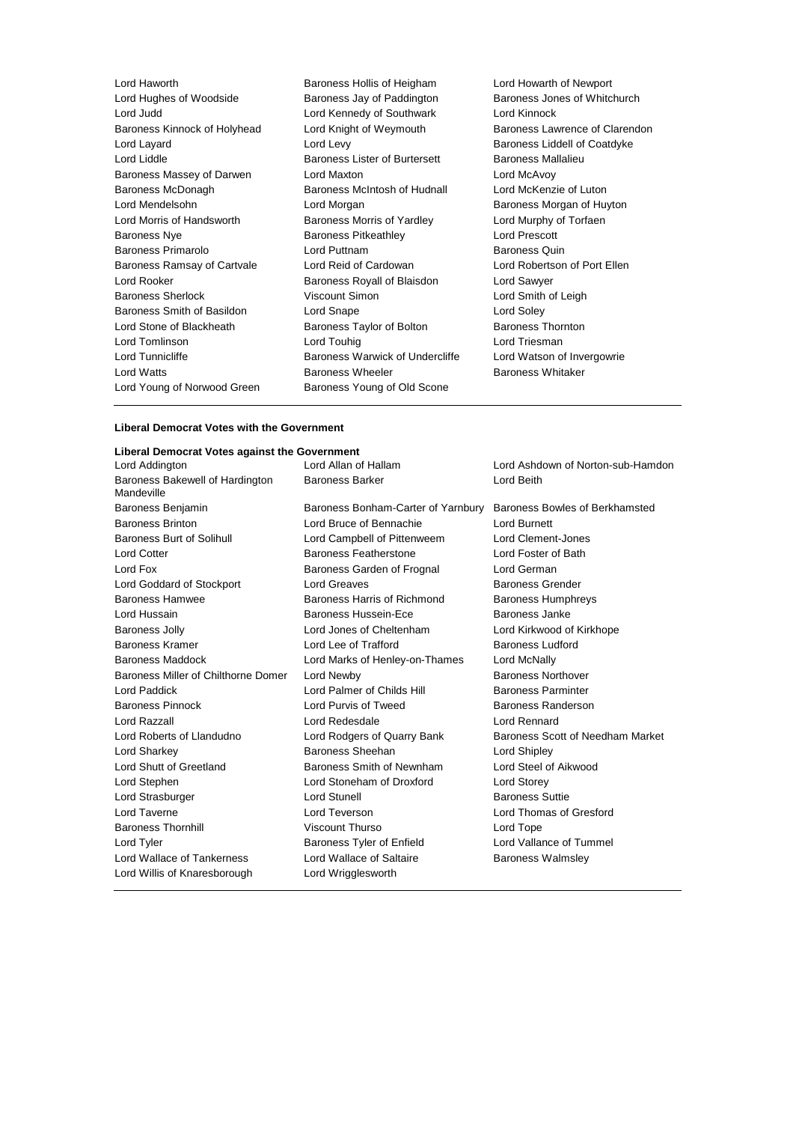| Lord Haworth                 | Baroness Hollis of Heigham      | Lord Howarth of Newport        |
|------------------------------|---------------------------------|--------------------------------|
| Lord Hughes of Woodside      | Baroness Jay of Paddington      | Baroness Jones of Whitchurch   |
| Lord Judd                    | Lord Kennedy of Southwark       | Lord Kinnock                   |
| Baroness Kinnock of Holyhead | Lord Knight of Weymouth         | Baroness Lawrence of Clarendon |
| Lord Layard                  | Lord Levy                       | Baroness Liddell of Coatdyke   |
| Lord Liddle                  | Baroness Lister of Burtersett   | Baroness Mallalieu             |
| Baroness Massey of Darwen    | Lord Maxton                     | Lord McAvoy                    |
| Baroness McDonagh            | Baroness McIntosh of Hudnall    | Lord McKenzie of Luton         |
| Lord Mendelsohn              | Lord Morgan                     | Baroness Morgan of Huyton      |
| Lord Morris of Handsworth    | Baroness Morris of Yardley      | Lord Murphy of Torfaen         |
| <b>Baroness Nye</b>          | <b>Baroness Pitkeathley</b>     | Lord Prescott                  |
| Baroness Primarolo           | Lord Puttnam                    | Baroness Quin                  |
| Baroness Ramsay of Cartvale  | Lord Reid of Cardowan           | Lord Robertson of Port Ellen   |
| Lord Rooker                  | Baroness Royall of Blaisdon     | Lord Sawyer                    |
| <b>Baroness Sherlock</b>     | <b>Viscount Simon</b>           | Lord Smith of Leigh            |
| Baroness Smith of Basildon   | Lord Snape                      | Lord Soley                     |
| Lord Stone of Blackheath     | Baroness Taylor of Bolton       | <b>Baroness Thornton</b>       |
| Lord Tomlinson               | Lord Touhig                     | Lord Triesman                  |
| Lord Tunnicliffe             | Baroness Warwick of Undercliffe | Lord Watson of Invergowrie     |
| <b>Lord Watts</b>            | Baroness Wheeler                | <b>Baroness Whitaker</b>       |
| Lord Young of Norwood Green  | Baroness Young of Old Scone     |                                |
|                              |                                 |                                |

# **Liberal Democrat Votes with the Government**

| Liberal Democrat Votes against the Government |                                    |                                   |
|-----------------------------------------------|------------------------------------|-----------------------------------|
| Lord Addington                                | Lord Allan of Hallam               | Lord Ashdown of Norton-sub-Hamdon |
| Baroness Bakewell of Hardington<br>Mandeville | <b>Baroness Barker</b>             | Lord Beith                        |
| Baroness Benjamin                             | Baroness Bonham-Carter of Yarnbury | Baroness Bowles of Berkhamsted    |
| <b>Baroness Brinton</b>                       | Lord Bruce of Bennachie            | <b>Lord Burnett</b>               |
| Baroness Burt of Solihull                     | Lord Campbell of Pittenweem        | Lord Clement-Jones                |
| Lord Cotter                                   | Baroness Featherstone              | Lord Foster of Bath               |
| Lord Fox                                      | Baroness Garden of Frognal         | Lord German                       |
| Lord Goddard of Stockport                     | Lord Greaves                       | <b>Baroness Grender</b>           |
| <b>Baroness Hamwee</b>                        | Baroness Harris of Richmond        | <b>Baroness Humphreys</b>         |
| Lord Hussain                                  | Baroness Hussein-Ece               | Baroness Janke                    |
| <b>Baroness Jolly</b>                         | Lord Jones of Cheltenham           | Lord Kirkwood of Kirkhope         |
| <b>Baroness Kramer</b>                        | Lord Lee of Trafford               | Baroness Ludford                  |
| <b>Baroness Maddock</b>                       | Lord Marks of Henley-on-Thames     | Lord McNally                      |
| Baroness Miller of Chilthorne Domer           | Lord Newby                         | <b>Baroness Northover</b>         |
| Lord Paddick                                  | Lord Palmer of Childs Hill         | <b>Baroness Parminter</b>         |
| <b>Baroness Pinnock</b>                       | Lord Purvis of Tweed               | <b>Baroness Randerson</b>         |
| Lord Razzall                                  | Lord Redesdale                     | Lord Rennard                      |
| Lord Roberts of Llandudno                     | Lord Rodgers of Quarry Bank        | Baroness Scott of Needham Market  |
| Lord Sharkey                                  | Baroness Sheehan                   | Lord Shipley                      |
| Lord Shutt of Greetland                       | Baroness Smith of Newnham          | Lord Steel of Aikwood             |
| Lord Stephen                                  | Lord Stoneham of Droxford          | <b>Lord Storey</b>                |
| Lord Strasburger                              | Lord Stunell                       | <b>Baroness Suttie</b>            |
| Lord Taverne                                  | Lord Teverson                      | Lord Thomas of Gresford           |
| <b>Baroness Thornhill</b>                     | Viscount Thurso                    | Lord Tope                         |
| Lord Tyler                                    | Baroness Tyler of Enfield          | Lord Vallance of Tummel           |
| Lord Wallace of Tankerness                    | Lord Wallace of Saltaire           | <b>Baroness Walmsley</b>          |
| Lord Willis of Knaresborough                  | Lord Wrigglesworth                 |                                   |